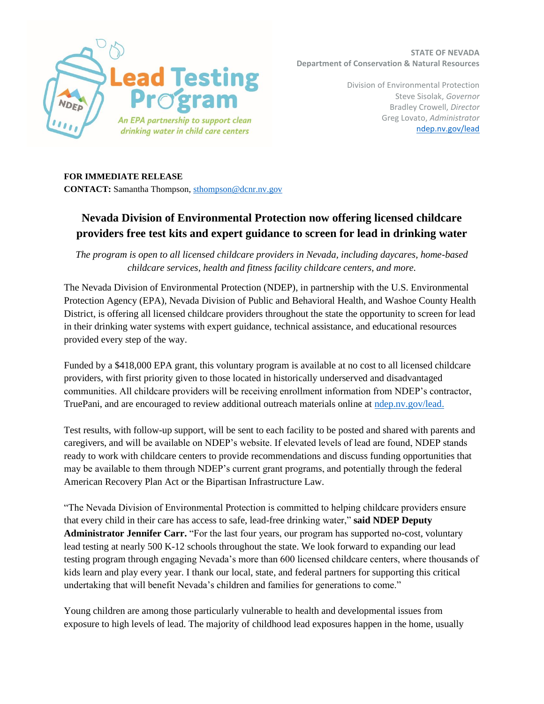

**STATE OF NEVADA Department of Conservation & Natural Resources**

> Division of Environmental Protection Steve Sisolak, *Governor* Bradley Crowell, *Director* Greg Lovato, *Administrator* ndep.nv.gov/lead

## **FOR IMMEDIATE RELEASE**

**CONTACT:** Samantha Thompson, sthompson@dcnr.nv.gov

## **Nevada Division of Environmental Protection now offering licensed childcare providers free test kits and expert guidance to screen for lead in drinking water**

*The program is open to all licensed childcare providers in Nevada, including daycares, home-based childcare services, health and fitness facility childcare centers, and more.*

The Nevada Division of Environmental Protection (NDEP), in partnership with the U.S. Environmental Protection Agency (EPA), Nevada Division of Public and Behavioral Health, and Washoe County Health District, is offering all licensed childcare providers throughout the state the opportunity to screen for lead in their drinking water systems with expert guidance, technical assistance, and educational resources provided every step of the way.

Funded by a \$418,000 EPA grant, this voluntary program is available at no cost to all licensed childcare providers, with first priority given to those located in historically underserved and disadvantaged communities. All childcare providers will be receiving enrollment information from NDEP's contractor, TruePani, and are encouraged to review additional outreach materials online at ndep.nv.gov/lead.

Test results, with follow-up support, will be sent to each facility to be posted and shared with parents and caregivers, and will be available on NDEP's website. If elevated levels of lead are found, NDEP stands ready to work with childcare centers to provide recommendations and discuss funding opportunities that may be available to them through NDEP's current grant programs, and potentially through the federal American Recovery Plan Act or the Bipartisan Infrastructure Law.

"The Nevada Division of Environmental Protection is committed to helping childcare providers ensure that every child in their care has access to safe, lead-free drinking water," **said NDEP Deputy Administrator Jennifer Carr.** "For the last four years, our program has supported no-cost, voluntary lead testing at nearly 500 K-12 schools throughout the state. We look forward to expanding our lead testing program through engaging Nevada's more than 600 licensed childcare centers, where thousands of kids learn and play every year. I thank our local, state, and federal partners for supporting this critical undertaking that will benefit Nevada's children and families for generations to come."

Young children are among those particularly vulnerable to health and developmental issues from exposure to high levels of lead. The majority of childhood lead exposures happen in the home, usually